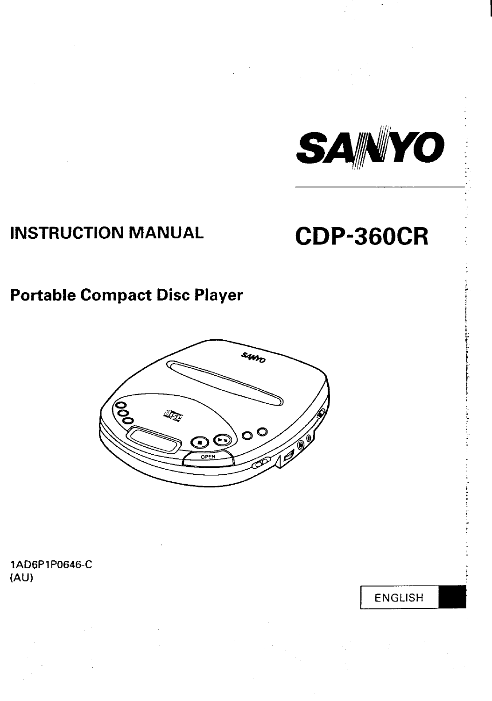

# **INSTRUCTION MANUAL**

# **CDP-360CR**

# **Portable Compact Disc Player**



**1AD6P1P0646-C (AU)**

**ENGLISH**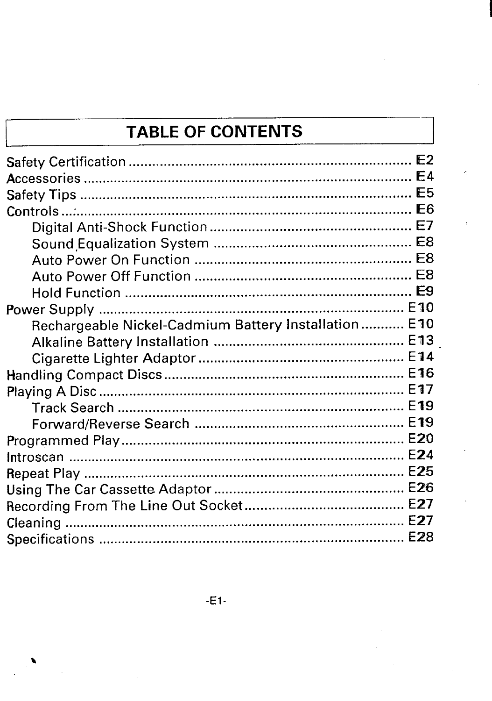# **TABLE OF CONTENTS**

| Rechargeable Nickel-Cadmium Battery Installation E10 |  |
|------------------------------------------------------|--|
|                                                      |  |
|                                                      |  |
|                                                      |  |
|                                                      |  |
|                                                      |  |
|                                                      |  |
|                                                      |  |
|                                                      |  |
|                                                      |  |
|                                                      |  |
|                                                      |  |
|                                                      |  |
|                                                      |  |
|                                                      |  |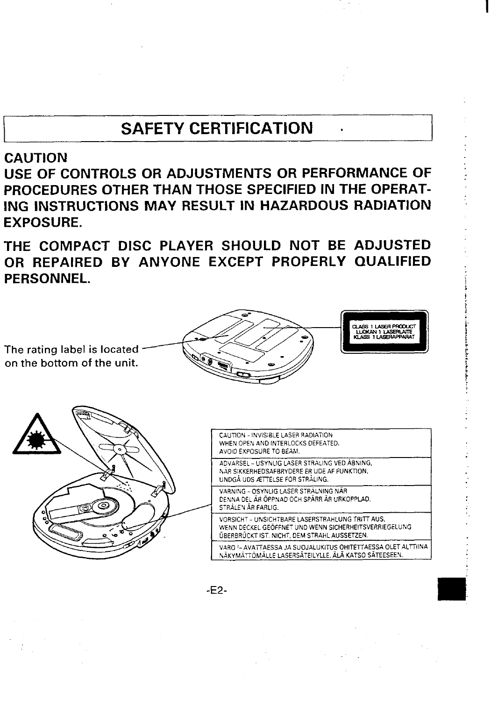# **SAFETY CERTIFICATION .**

### **CAUTION**

<span id="page-2-0"></span>**I**

**USE OF CONTROLS OR ADJUSTMENTS OR PERFORMANCE OF PROCEDURES OTHER THAN THOSE SPECIFIED IN THE OPERAT-ING INSTRUCTIONS MAY RESULT IN HAZARDOUS RADIATION EXPOSURE.**

**THE COMPACT DISC PLAYER SHOULD NOT BE ADJUSTED OR REPAIRED BY ANYONE EXCEPT PROPERLY QUALIFIED PERSONNEL.**

**The rating label is located on the bottom of the unit.** 





| ິດ | CAUTION - INVISIBLE LASER RADIATION<br>WHEN OPEN AND INTERLOCKS DEFEATED.<br>AVOID EXPOSURE TO BEAM.                                                      |  |  |  |  |
|----|-----------------------------------------------------------------------------------------------------------------------------------------------------------|--|--|--|--|
|    | ADVARSEL – USYNLIG LASER STRALING VED ÅBNING.<br>NAR SIKKERHEDSAFBRYDERE ER UDE AF FUNKTION.<br>UNDGA UDS ÆTTELSE FOR STRÅLING.                           |  |  |  |  |
|    | VARNING - OSYNLIG LASER STRÅLNING NÄR<br>DENNA DEL ÄR ÖPPNAD OCH SPÄRR ÄR URKOPPLAD.<br>STRÅLEN ÄR FARLIG.                                                |  |  |  |  |
|    | VORSICHT - UNSICHTBARE LASERSTRAHLUNG TRITT AUS.<br>WENN DECKEL GEOFFNET UND WENN SICHERHEITSVERRIEGELUNG<br>ÜBERBRÜCKT IST. NICHT, DEM STRAHL AUSSETZEN. |  |  |  |  |
|    | VARO !- AVATTAESSA JA SUOJALUKITUS OHITETTAESSA OLET ALTTIINA<br>NÄKYMÄTTÖMÄLLE LASERSÄTEILYLLE. ÄLÄ KATSO SÄTEESEEN.                                     |  |  |  |  |

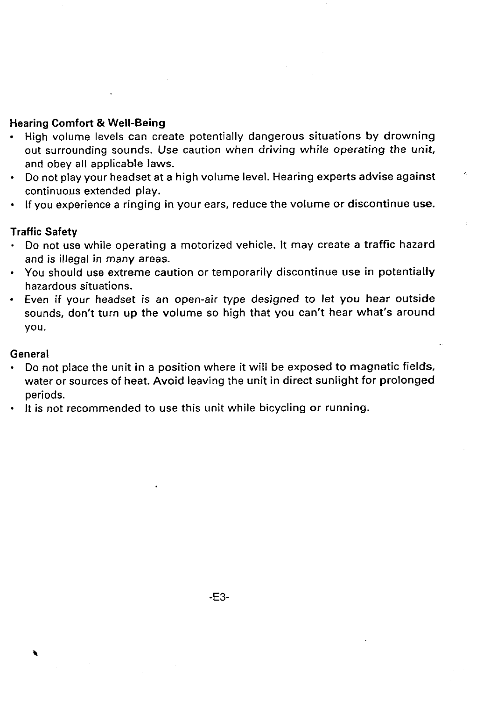#### **Hearing Comfort & Well-Being**

- **High volume levels can create potentially dangerous situations by drowning out surrounding sounds. Use caution when driving while operating the unit, and obey all applicable laws.**
- **Do not play your headset at a high volume level. Hearing experts advise against ' continuous extended play.**
- **If you experience a ringing in your ears, reduce the volume or discontinue use.**

### **Traffic Safety**

- **. Do not use while operating a motorized vehicle. It may create a traffic hazard and is illegal in many areas.**
- **You should use extreme caution or temporarily discontinue use in potentially hazardous situations.**
- **Even if your headset is an open-air type designed to let you hear outside sounds, don't turn up the volume so high that you can't hear what's around you.**

#### **General**

- **Do not place the unit in a position where it will be exposed to magnetic fields, water or sources of heat. Avoid leaving the unit in direct sunlight for prolonged periods.**
- **It is not recommended to use this unit while bicycling or running.**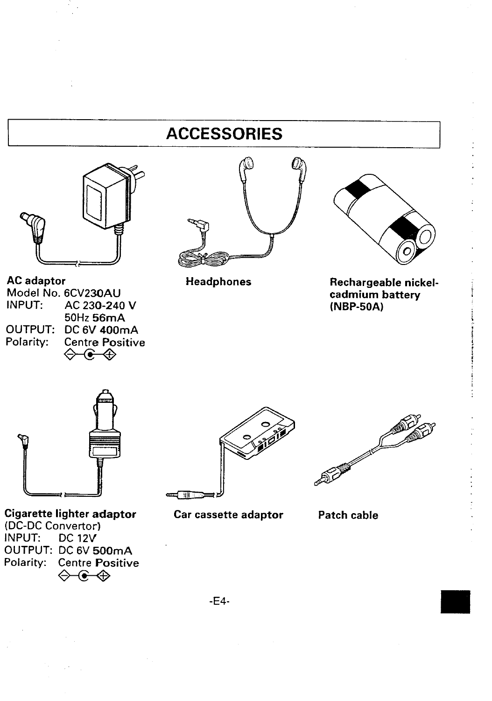# **I ACCESSORIES I**

<span id="page-4-0"></span>

### **AC adaptor**

**Model No. 6CV230AU INPUT: AC 230-240 V 50Hz 56mA OUTPUT:** DC 6V 400mA<br>Polarity: Centre Positive **Centre Positive** →<del>€</del> ⊕



**Headphones**



#### **Rechargeable nickelcadmium battery (NBP-50A)**



**Cigarette lighter adaptor (DC-DC Convertor] INPUT: DC 12V OUTPUT: DC 6V 500mA Polarity: Centre Positive** �<del>⊕</del>



**Car cassette adaptor**



**Patch cable**

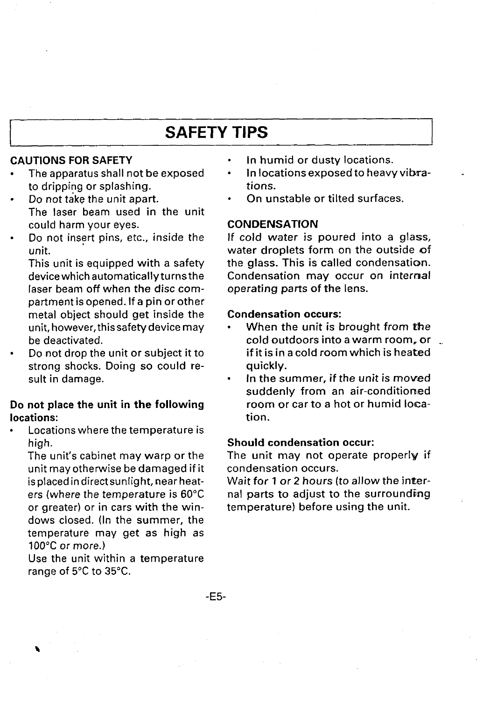### **SAFETY TIPS**

#### <span id="page-5-0"></span>**CAUTIONS FOR SAFETY**

- **s The apparatus shall not be exposed to dripping or splashing.**
- **Do not take the unit apart. The laser beam used in the unit could harm your eyes.**
- **Do not insert pins, etc., inside the unit.**

**This unit is equipped with a safety devicewhich automatically turnsthe laser beam off when the disc compartment is opened. If a pin or other metal object should get inside the unit, however, this safety device may be deactivated.**

**. Do not drop the unit or subject it to strong shocks. Doing so could result in damage.**

#### **Do not place the unit in the following locations:**

**. Locations where the temperature is high.**

**The unit's cabinet may warp or the unit may otherwise be damaged if it isplacedin direct sunlight, near heaters (where the temperature is 60"C**  $or$  **greater**) or in cars with the win**dows closed. (In the summer, the temperature may get as high as IOO"C or more.)**

**Use the unit within a temperature range of 5°C to 35"C.**

- . **In humid or dusty locations.**
- **. in locations exposed to heavy vi bra- tions.**
- **. On unstable or tilted surfaces.**

#### **CONDENSATION**

**If cold water is poured into a glass, water droplets form on the outside of the glass. This is called condensaticzm. Condensation may occur on internal operating parts of the lens.**

#### **Condensation occurs:**

- **When the unit is brought from tie cold outdoors into a warm room, or . if it is in a cold room which is heated quickly.**
- **. In the summer, if the unit is moved suddenly from an air-conditioned room or car to a hot or humid location.**

#### **Should condensation occur:**

**The unit may not operate properly if condensation occurs.**

**Wait for 1 or 2 hours (to allow the intlernal parts to adjust to the surrounding temperature) before using the unit.**

**-E5-**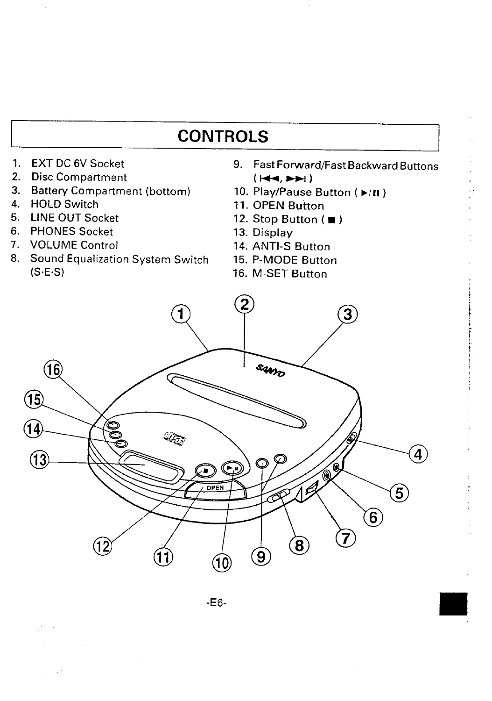# **CONTROLS**

- <span id="page-6-0"></span>1.
- **2.**
- **3. Battery Compartment (bottom)**
- **4.**
- **5.**
- **6. PHONES Socket 13. Display**
- **7.**
- **8. Sound Equalization System Switch 15. P-MODE Button (S.EOS) 16. M-SET Button**
- **EXT DC 6V Socket 9. Fast Forward/Fast Backward Buttons** Disc Compartment<br>Battery Compartment (bottom) 10. Play/Pause Button ( $\rho/\mathbf{H}$ )
	-
- **HOLD Switch 11. OPEN Bution**
	- **LINE OUT Socket 12. Stop Button ( )**
		-
	- **VOLUME Control 14. ANTI-S Button**
	-
	-

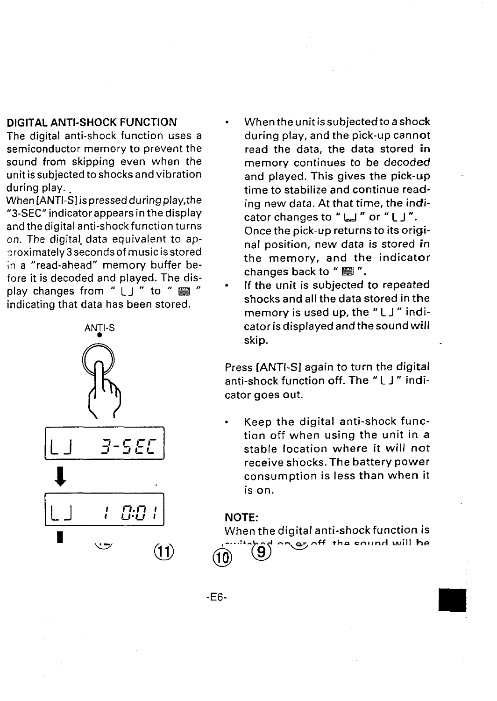**during play. .**

**When [ANTI-S] is pressed during play, the "3-SEC''i ndicatorappearsi nthedisplay andthedigital anti-shock function turns on. The digital, data equivalent to ap- >roximately3 seconds of music is stored** in **a "read-ahead" memory buffer before it is decoded and played. The display changes from " LJ " to " S " indicating that data has been stored.**



- <span id="page-7-0"></span>**DIGITAL ANTI-SHOCK FUNCTION** ● **Whentheunitissubjected toashock The digital anti-shock function uses a during play, and the pick-up cannot semiconductor memory to prevent the read the data, the data stored in sound from skipping even when the memory continues to be decoded unit issubjected toshocks and vibration and played. This gives the pick-up time to stabilize and continue reading new data. At that time, the indicator changes to " I\_l " or " LJ ". Once the pick-up returns to its original position, new data is stored in the memory, and the indicator changes back to " El ".**
	- **If the unit is subjected to repeated shocks and all the data stored in the memory is used up, the " LJ" indicatoris displayed andthesound** *will* **skip.**

**Press [ANTI-S] again to turn the digital anti-shock function off. The " L J " indicator goes out.**

. **Keep the digital anti-shock function off when using the unit in a**  $\mathbf{S}$  stable **location** where it will not **receive shocks. The battery power consumption is less than when it is on.**

#### **NOTE:**

**.**

**When the digital anti-shock function is**  $\overline{r}$  the cound will be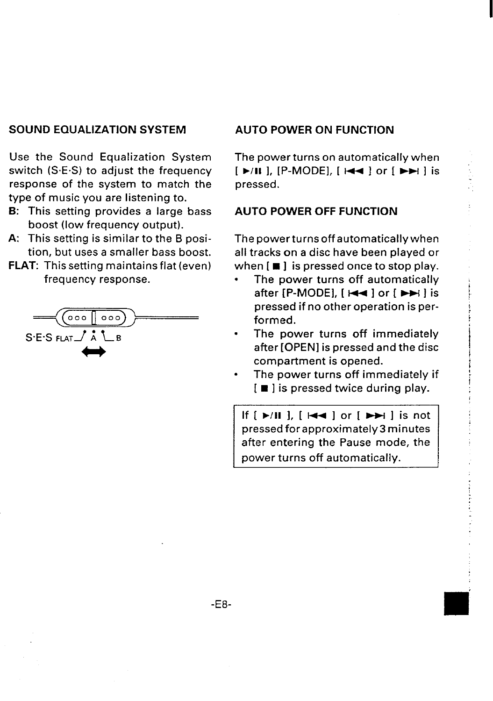#### <span id="page-8-0"></span>**SOUND EQUALIZATION SYSTEM**

**Use the Sound Equalization System switch (S. E.S) to adjust the frequency response of the system to match the type of music you are listening to.**

- **B: This setting provides a large bass boost (low frequency output).**
- **A: This setting is similar to the B position, but uses a smaller bass boost.**
- **FLAT: This setting maintains flat (even) frequency response.**



#### **AUTO POWER ON FUNCTION**

**The power turns on automatically when [ E/11 1, [P-MODE], [ I++ 1 or [ M 1 is pressed.**

#### **AUTO POWER OFF FUNCTION**

**Thepowerturnsoff automatically when all tracks on a disc have been played or when [** ■ **] is pressed once to stop play.**

**. The power turns off automatically after [P-MODE], [ I++ 1or [ w 1 is pressed if no other operation is performed.**

,

- **The power turns off immediately after [OPEN I is pressed and the disc compartment is opened.**
- **The power turns off immediately if [** ■ **] is pressed twice during play.**

If  $[\triangleright\prime\blacksquare]$ ,  $[\cdot\blacktriangleleft\blacksquare]$  or  $[\triangleright\rightarrow\square]$  is not pressed for approximately 3 minutes after entering the Pause mode, the power turns off automatically. **after entering the Pause mode, the**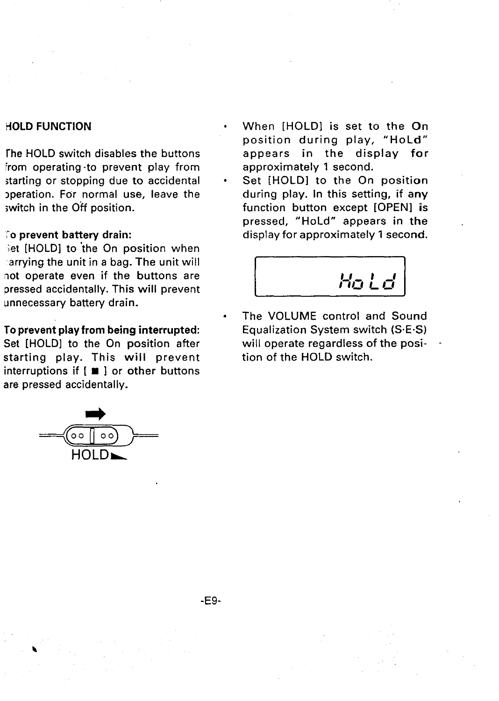#### <span id="page-9-0"></span>**HOLD FUNCTION**

**The HOLD switch disables the buttons From operating -to prevent play from starting or stopping due to accidental operation. For normal use, leave the ;witch in the Off position.**

#### **"Oprevent battery drain:**

**jet [HOLD] to 'the On position when arrying the unit in a bag. The unit will not operate even if the buttons are pressed accidentally. This will prevent unnecessary battery drain.**

#### **To prevent play from being interrupted:**

**Set [HOLDI to the On position after starting play. This will prevent interruptions if [** ■ **1 or other buttons are pressed accidentally.**



- **When [HOLD] is set to the On position during play, "HoLd" appears in the display for approximately 1 second.**
- **Set [HOLDI to the On position during play. In this setting, if any function button except [OPEN] is pressed, "HoLd" appears in the display for approximately 1 second.**



● **The VOLUME control and Sound Equalization System switch (SE-S) will operate regardless of the posi- tion of the HOLD switch.**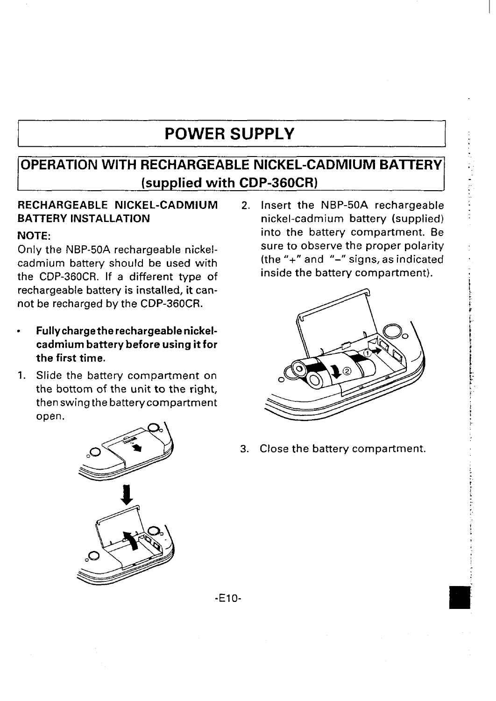## **POWER SUPPLY**

### <span id="page-10-0"></span>**OPERATION WITH RECHARGEABLE NICKEL-CADMIUM BAITERY (supplied with CDP-360CR)**

### **RECHARGEABLE NICKEL-CADMIUM BAITERY INSTALLATION**

#### **NOTE:**

**Only the NBP-50A rechargeable nickelcadmium battery should be used with the CDP-360CR. If a different type of rechargeable battery is installed, it cannot be recharged by the CDP-360CR.**

- . **Fully charge the rechargeable nickelcadmium battery before using it for the first time.**
- **1. Slide the battery compartment on the bottom of the unit to the right, then swing the battery compartment** open.

**2. Insert the NBP-50A rechargeable nickel-cadmium battery (supplied) into the battery compartment. Be sure to observe the proper polarity (the "+" and "-" signs, as indicated inside the battery compartment).**



**3. Close the battery compartment.**



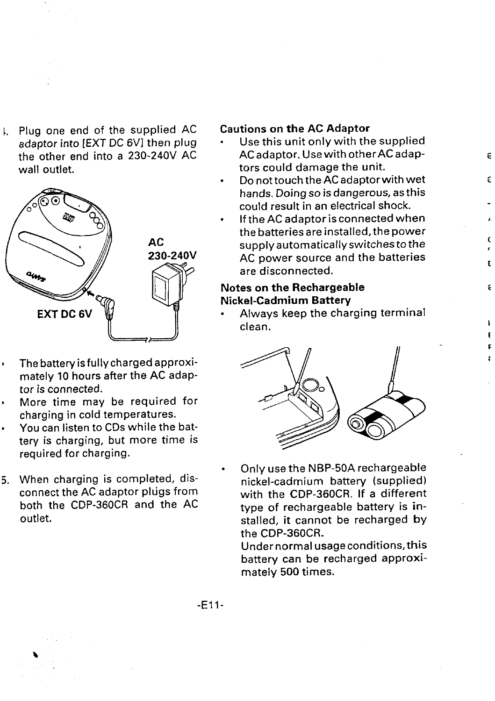**Plug one end of the supplied AC Cautions on the AC Adaptor wall outlet. tors could damage the unit.**



- , **The battery is fully charged approximately 10 hours after the AC adaptor is connected.**
- . **More time may be required for charging in cold temperatures.**
- , **You can listen to CDs while the battery is charging, but more time is required for charging.**
- **5. When charging is completed, disconnect the AC adaptor plugs from both the CDP-360CR and the AC outlet.**

- **adaptor into [EXT DC 6VI then plug Use this unit only with the supplied the other end into a 230-240V AC AC adaptor. Use with otherAC adap- E**
	- **Do not touch the AC adaptor with wet hands. Doing so is dangerous, as this could result in an electrical shock.**

**c**

**I**

r

ŧ

i

**If the AC adaptor is connected when , the batteries preinstalled, the power supply automatically switches tothe 230-240V AC power source and the batteries are disconnected.**

#### **Notes on the Rechargeable Nickel-Cadmium Battery**

**Always keep the charging terminal clean. 1** 



**Only use the NBP-50A rechargeable nickel-cadmium battery (supplied) with the CDP-360CR, If a different type of rechargeable battery is installed, it cannot be recharged by the CDP-360CR.**

**Under normal usage conditions, this battery can be recharged approximately 500 times.**

**.**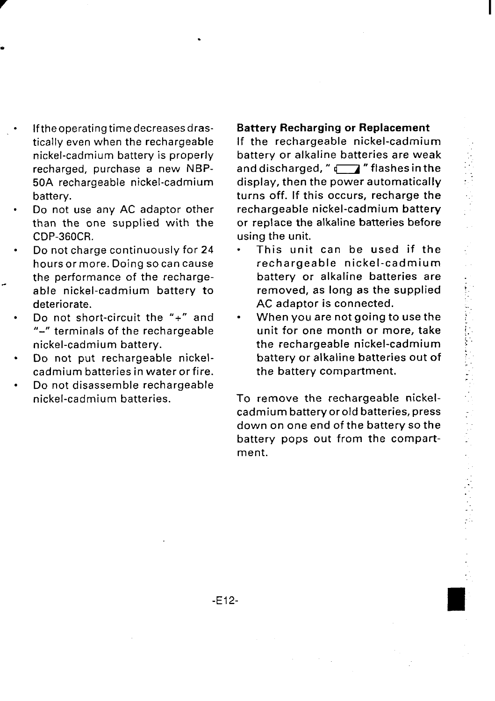- . **Iftheoperating time decreases drastically even when the rechargeable nickel-cadmium battery is properly recharged, purchase a new NBP-50A rechargeable nickel-cadmium battery.**
- **. Do not use any AC adaptor other than the one supplied with the CDP-360CR**
- **. Do not charge continuously for 24 hours or more. Doing socan cause the performance of the recharge able nickel-cadmium battery to deteriorate.**

**.**

- **Do not short-circuit the 8'+" and "-" terminals of the rechargeable nickel-cadmium battery.**
- **Do not put rechargeable nickelcadmium batteries inwaterorfire.**
- **Do not disassemble rechargeable nickel-cadmium batteries.**

#### **Battery Recharging or Replacement**

**If the rechargeable nickel-cadmium battery or alkaline batteries are weak and discharged, "'m "flashesinthe display, then the power automatically turns off. If this occurs, recharge the rechargeable nickel-cadmium battery or replace the alkaline batteries before using the unit.**

- **. This unit can be used if the rechargeable nickel-cadmium battery or alkaline batteries are removed, as long as the supplied AC adaptor is connected.**
- **When you are not going to use the unit for one month or more, take the rechargeable nickel-cadmium battery or alkaline batteries out of the battery compartment.**

**To remove the rechargeable nickeicadmium battery or old batteries, press down on one end of the battery so the battery pops out from the compartment.**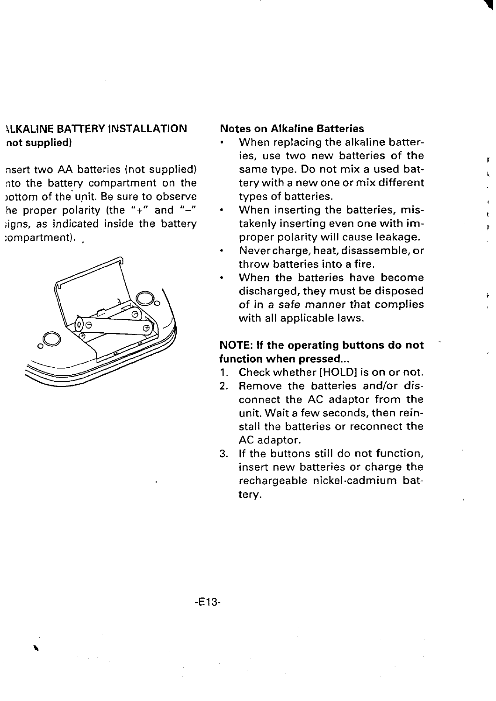### <span id="page-13-0"></span>**4LKALINE BAIT'ERY INSTALLATION Notes on Alkaline Batteries not supplied) .**

**nsert two AA batteries (not supplied) nto the battery compartment on the )ottom of the" unit. Be sure to observe**  $he$  **proper polarity** (the "+" and "-" **;igns, as indicated inside the battery compartment). ,**



**When replacing the alkaline batteries, use two new batteries of the same type. Do not mix a used battery with a new one or mix different types of batteries.**

**r**

I

- **When inserting the batteries, mistakenly inserting even one with improper polarity will cause leakage.**
- **. Never charge, heat, disassemble, or throw batteries into a fire.**
- **When the batteries have become discharged, they must be disposed of in a safe manner that complies with all applicable laws.**

#### **NOTE: If the operating buttons do not function when pressed...**

- 1, **Check whether [HOLD] is on or not.**
- **2. Remove the batteries and/or disconnect the AC adaptor from the unit. Wait a few seconds, then reinstall the batteries or reconnect the AC adaptor.**
- **3. If the buttons still do not function, insert new batteries or charge the rechargeable nickel-cadmium battery.**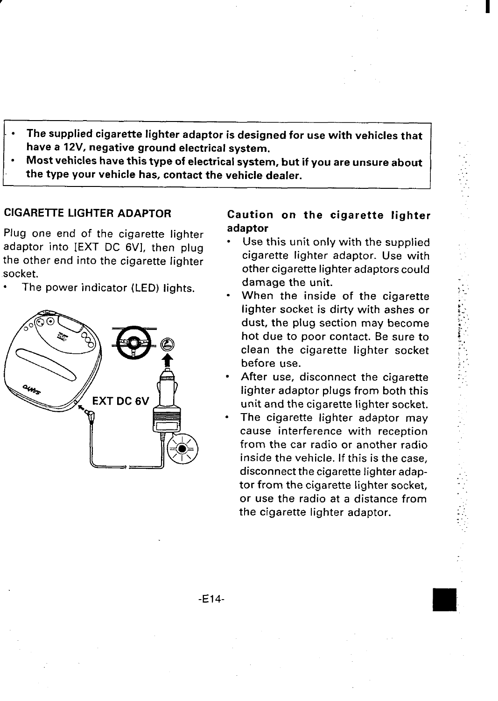- <span id="page-14-0"></span>**.** ● **The supplied cigarette lighter adaptor is designed for use with vehicles that have a 12V, negative ground electrical system.**
- **Most vehicles have this type of electrical system, but if you are unsure about the type your vehicle has, contact the vehicle dealer.**

#### **CIGAREITE LIGHTER ADAPTOR**

**Plug one end of the cigarette lighter adaptor into [EXT DC 6VI, then plug the other end into the cigarette lighter socket.**

● **The power indicator (LED) lights.**



#### **Caution on the cigarette lighter adaptor**

- . **Use this unit only with the supplied cigarette lighter adaptor. Use with other cigarette lighter adaptors could damage the unit.**
- . **When the inside of the cigarette lighter socket is dirty with ashes or dust, the plug section may become hot due to poor contact. Be sure to clean the cigarette lighter socket before use.**
- . **After use, disconnect the cigarette lighter adaptor plugs from both this unit and the cigarette lighter socket.**
- **The cigarette lighter adaptor may cause interference with reception from the car radio or another radio inside the vehicle. If this is the case, disconnect the cigarette lighter adaptor from the cigarette lighter socket, or use the radio at a distance from the cigarette lighter adaptor.**

. . :.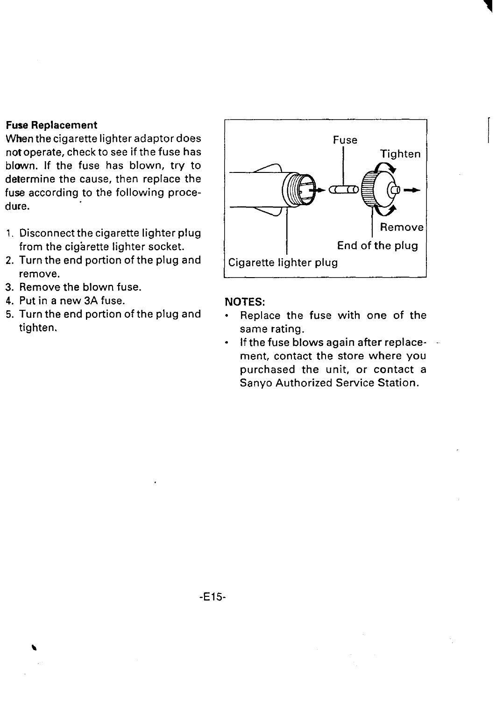#### **Fuse Replacement**

**When thecigarette lighter adaptor does not operate, check to see if the fuse has blown. If the fuse has blown, try to determine the cause, then replace the fuse according to the following procedure.**

- **1. Disconnect the cigarette lighter plug from the cigarette lighter socket.**
- **2. Turn the end portion of the plug and remove.**
- **3. Remove the blown fuse.**
- **4. Put in a new 3A fuse.**
- **5. Turn the end portion of the plug and tighten.**



I

#### **NOTES:**

- **Replace the fuse with one of the same rating.**
- **If the fuse blows again after replace- ment, contact the store where you purchased the unit, or contact a Sanyo Authorized Service Station.**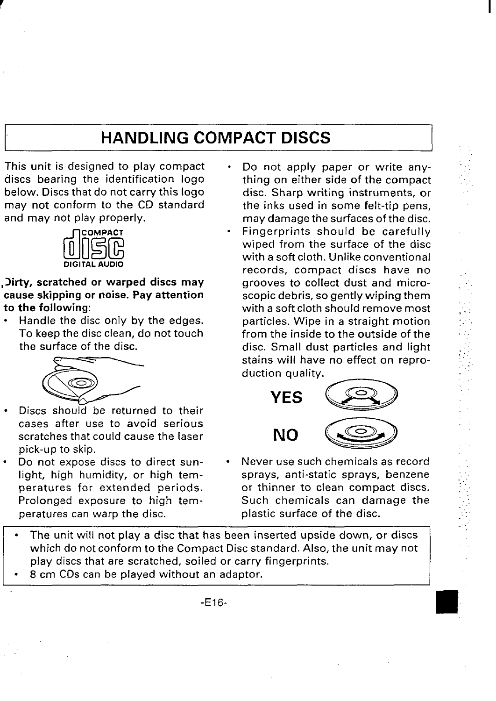# **I HANDLING COMPACT DISCS I**

<span id="page-16-0"></span>**This unit is designed to play compact discs bearing the identification logo below. Discs that do not carry this logo may not conform to the CD standard and may not play properly.**



**,Oirty, scratched or warped discs may cause skipping or noise. Pay attention to the following:**

● **Handle the disc only by the edges. To keep the disc clean, do not touch the surface of the disc.**



- **cases after use to avoid serious scratches that could cause the laser pick-up to skip.**
- **Do not expose discs to direct sun peratures can warp the disc. plastic surface of the disc.**

● **Do not apply paper or write anything on either side of the compact disc. Sharp writing instruments, or the inks used in some felt-tip pens, may damage the surfaces of the disc.** ● **Fingerprints should be carefully wiped from the surface of the disc with a soft cloth. Unlike conventional records, compact discs have no grooves to collect dust and microscopic debris, so gently wiping them with a soft cloth should remove most particles. Wipe in a straight motion from the inside to the outside of the disc. Small dust particles and light stains will have no effect on reproduction quality.**



- **Never use such chemicals as record light, high humidity, or high tem- sprays, anti-static sprays, benzene peratures for extended periods. or thinner to clean compact discs. Prolonged exposure to high tem- Such chemicals can damage the**
- **The unit will not play a disc that has been inserted upside down, or discs which do not conform to the Compact Disc standard. Also, the unit may not play discs that are scratched, soiled or carry fingerprints.**
- **8 cm CDs can be played without an adaptor.**

**-E16-**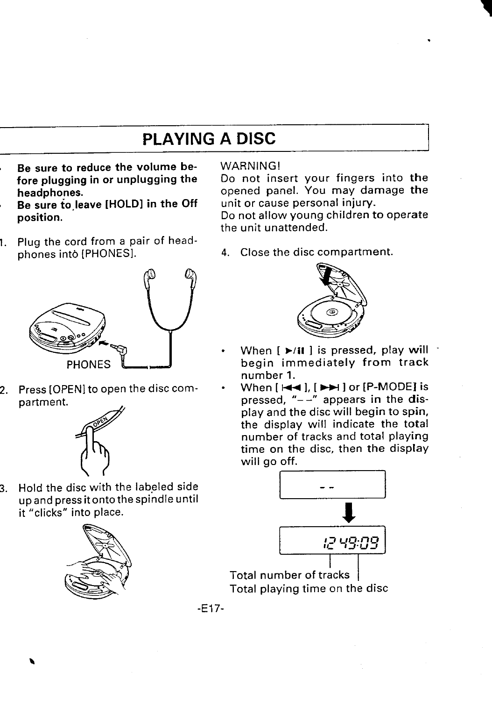## **PLAYING A DISC**

- <span id="page-17-0"></span>**Be sure to reduce the volume before plugging in or unplugging the headphones.**
- **Be** sure to leave [HOLD] in the Off **position.**
- **1. Plug the cord from a pair of headphones into [PHONESI.**



**2. Press [OPEN] to open the disc com**partment.



**3. Hold the disc with the labeled side upandpress itontothe spindle until it "clicks" into place.**



#### **WARNING!**

**Do not insert your fingers into the opened panel. You may damage the unit or cause personal injury.**

**Do not allow young children to operate the unit unattended.**

**4. Close the disc compartment.**



- **When [** ➤**/ii 1 is pressed, play will begin immediately from track number 1.**
	- **When [ w 1, [ w 1or [P-MODE] is pressed, "-–" appears in the display and the disc will begin to spin, the display will indicate the total number of tracks and total playing time on the disc, then the display will go off.**



**-E17-**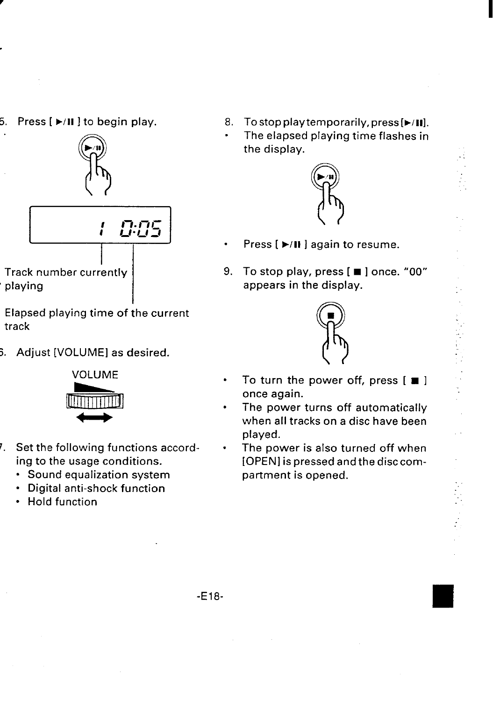**5, Press [ F/n 1to begin play.**



- **Elapsed playing time of the current track**
- **3. Adjust [VOLUME] as desired.**



- **~. Set the following functions according to the usage conditions.**
	- **Sound equalization system**
	- **Digital anti-shock function**
	- **Hold function**

**8. To stop play temporarily, press [FIII].**

**.**

**The elapsed playing time flashes in the display.**

**.:**



- **. Press [** ➤**/11 ] again to resume.**
- **9. To stop play, press [ ] once. "00" appears in the display.**



- **To turn the power off, press [ H ] once again.**
- **. The power turns off automatically when all tracks on a disc have been played.**
- **The power is also turned off when [OPENI is pressed andthedisccompartment is opened.**

**.**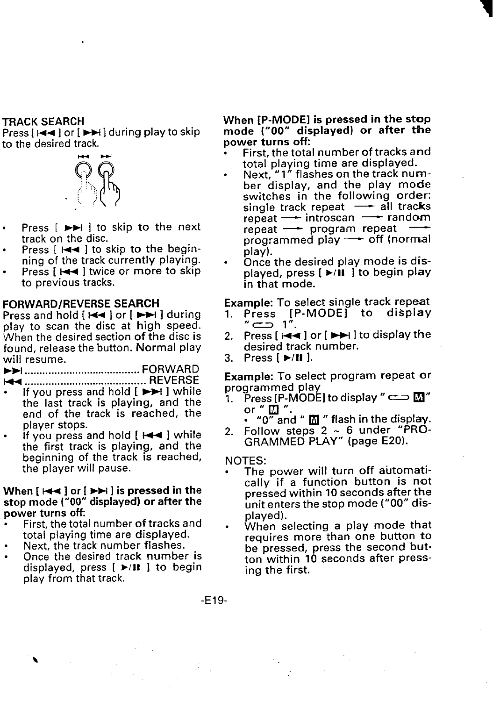#### <span id="page-19-0"></span>**TRACK SEARCH**

**Press [ w ] or [** ➤**M 1during play to skip to the desired track.**



- **Press [ w 1 to skip to the next track on the disc.**
- **Press [ 1+4 1 to skip to the beginning of the track currently playing.**
- **. Press [ w ] twice or more to** skip **to previous tracks.**

#### **FORWARD/REVERSE SEARCH**

**Press and hold [ 1441 or [ w 1 during play to scan the disc at high speed. 'VJhen the desired section of the disc is found, release the button. Normal play will resume.**

**- ....................................... FC)U&13;**

- **......................................... . If you press and hold [ -1 while the last track is playing, and the end of the track is reached, the player stops.**
- **. If you press and hold [ w 1 while the first track is playing, and the beginning of the track is reached, the player will pause.**

#### **When [ w 1or [ -1 is pressed in the stop mode ("00" displayed) or after the power turns off**

- **. First, the total number of tracks and total playing time are displayed.**
- **Next, the track number flashes.**
- **Once the desired track number is displayed, press [** ➤**/11 1 to begin play from that track.**

#### **When [P-MODE] is pressed in the stop mode ("00" displayed) or after the power turns off:**

- **First, the total number of tracks and total playing time are displayed.**
- **Next, "l" flashes on the track number display, and the play mode switches in the following order: single track repeat — all tracks repeat — introscan — random repeat — program repeat programmed play — off (normal play).**
- **. Once the desired play mode is displayed, press [** ➤**/ii 1 to begin play in that mode.**

**Example: To select single track repeat**

- **1. Press [P-MODE] to display "u l".**
- **2. Press [ -1 or [ m 1to display the desired track number.**
- **3. Press [** ➤**/11 1.**

**Example: To select program repeat or programmed play**

- **1. Press [P-MODE] to display" <sup>=</sup>** ❑ **" or "** ❑ **".**
	- **. "o" and "** ❑ **" flash in the display.**
- **2. Follow steps 2 - 6 under "PRO-GRAMMED PLAY" (page E20).**

**NOTES:**

- **c The power will turn off automatically if a function button is not pressed within 10 seconds after the Unit enters the stop mode ("()()" displayed).**
- **When selecting a play mode that requires more than one button to be pressed, press the second button within 10 seconds after pressing the first.**

**-E19-**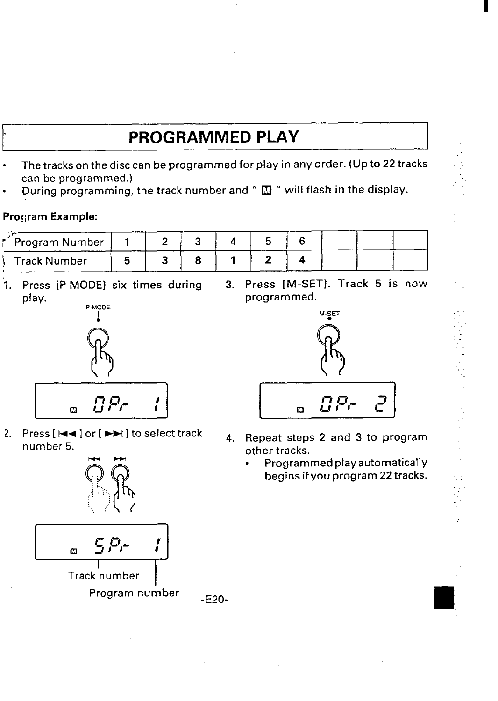# **1' PROGRAMMED PLAY I**

- <span id="page-20-0"></span>. **The tracks on the disc can be programmed for play in any order. (Up to 22 tracks can be programmed.)**
- **. During programming, the track number and " •l " will flash in the display.**

#### **Program Example:**

| * Program Number |  |  |  |  |  |
|------------------|--|--|--|--|--|
| Track Number     |  |  |  |  |  |

**"1. Press [P-MODE] six times during 3. Press [M-SET]. Track 5 is now play. programmed.**



2. **Press**  $[H \rightarrow]$  or  $[F \rightarrow]$  to select track **b**<sub>4.</sub> **number 5.**



**-E20-**



- **Repeat steps 2 and 3 to program other tracks.**
	- **. Programmed playautomatically begins if you program 22 tracks.**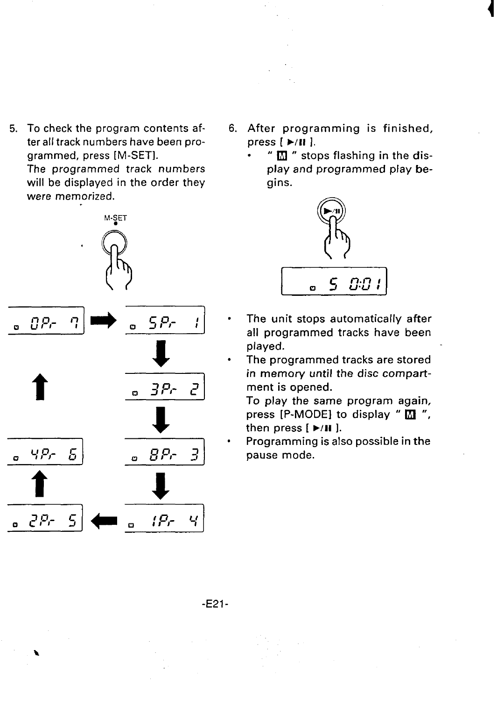- **5. To check the program contents afteralltrack numbers have been programmed, press [M-SET]. The programmed track numbers will be displayed in the order they were memorized.**
- M-SET  $BP<sub>c</sub>$  $SP<sub>r</sub>$ ą ø  $3P<sub>c</sub>$  $\mathcal{E}$ ø ዓዎብ  $BP<sub>r</sub>$  $\overline{B}$ Б.  $2P<sub>c</sub>$ 5 。 *{Pr*- 4}
- **6. After programming is finished, press [ \*111 ].**
	- **. " IZl " stops flashing in the display and programmed play** be**gins.**



- **The unit stops automatically after all programmed tracks have been played.**
- **The programmed tracks are stored in memory until the disc compartment is opened.**

**To play the same program again, press [P-MODE] to display "** ❑ **", then press [** ➤**/11** 1.

. **Programming is also possible in the pause mode.**

**-E21-**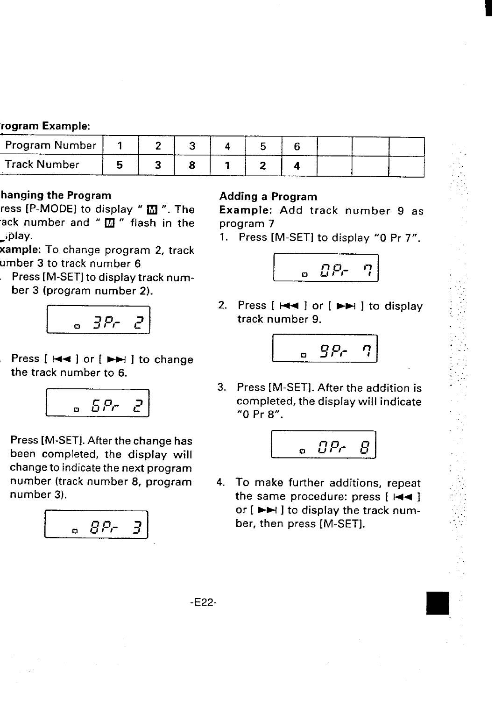#### **rogram** Example:

| Program Number      |  |  |  |  |  |
|---------------------|--|--|--|--|--|
| <b>Track Number</b> |  |  |  |  |  |

### hanging the Program

**ress [P-MODE] to display "** ❑ **". The ack number and " Lll " flash in the w}play.**

**xample: To change program 2, track umber 3 to track number 6**

**Press [M-SET] to display track number 3 (program number 2).**



**Press [ I++ ] or [ H ] to change the track number to 6.**



**Press [M-SET]. After the change has been completed, the display will change to indicate the next program number (track number 8, program number 3).**

$$
\begin{bmatrix} 0.8P-3 \end{bmatrix}
$$

### Adding a Program

**m**

Example: **Add track number 9 as program 7**

1. **Press [M-SET] to display "O Pr 7".**



**2. Press [ I++ ] or [ w ] to display track number 9.**



**3. Press [M-SET]. After the addition is completed, the display will indicate "O Pr 8".**



**4. To make further additions, repeat the same procedure: press [ l++ ] or [ + ] to display the track number, then press [M-SET].**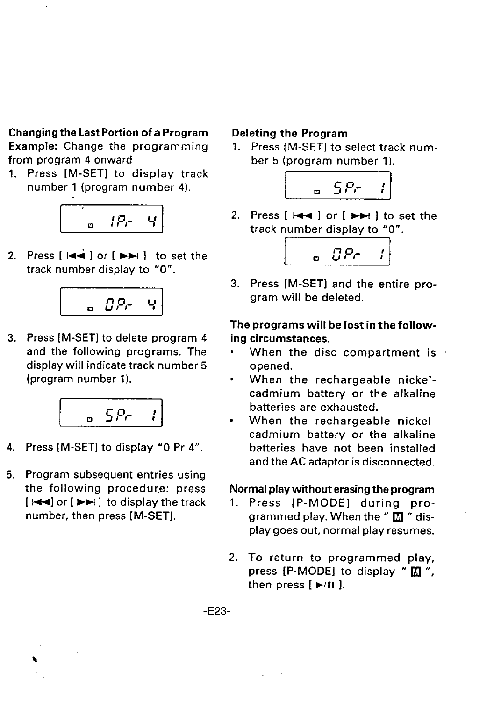**Changing the Last Portion of a Program Example: Change the programming from program 4 onward**

1. **Press- [M-SET] to display track number 1 (program number 4).**



**2. Press [ ~ ] or [ w 1 to set the track number display to "O".**



**3. Press [M-SET] to delete program 4 and the following programs. The display will indicate track number 5 (program number 1).**



- **4. Press [M-SET] to display "O Pr 4".**
- **5. Program subsequent entries using the following procedure: press [ I++] or [ w ] to display the track number, then press [M-SET].**

\

#### **Deleting the Program**

**1. Press [M-SET] to select track number 5 (program number 1).**



**2. Press [ I++ ] or [ ~ ] to set the track number display to "O".**



**3. Press [M-SET] and the entire program will be deleted.**

**The programs will be lost in the following circumstances.**

- **When the disc compartment is opened.**
- **When the rechargeable nickelcadmium battery or the alkaline batteries are exhausted.**
- **When the rechargeable nickelcadmium battery or the alkaline batteries have not been installed and the AC adaptor is disconnected.**

#### **Normal play without erasing the program**

- 1. **Press [P-MODE] during programmed play. When the "** ❑ **" display goes out, normal play resumes.**
- **2. To return to programmed play, press [P-MODE] to display "** ❑ **", then press [** ➤**/11 ].**

**-E23-**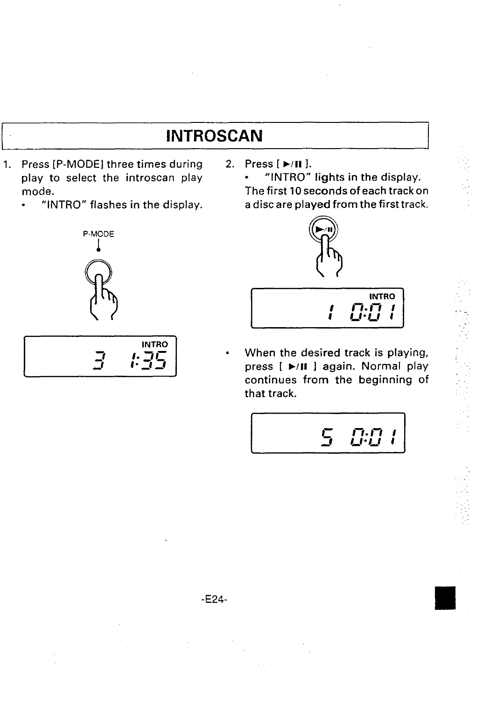## **INTROSCAN**

- <span id="page-24-0"></span>**1. Press [P-MODE] three times during 2. Press [** ➤**/[1 1. h h introscan play b in** 
	-



$$
\frac{1}{3} \cdot \frac{1}{2}
$$

**mode. The first 10 seconds of each track on . "INTRO" flashes in the display. a disc are played from the first track.**



$$
\begin{array}{c}\n \overbrace{\qquad \qquad }^{\mathsf{INTRO}} \\
\overbrace{\qquad \qquad }^{\mathsf{INTRO}} \\
\overbrace{\qquad \qquad }^{\mathsf{INTRO}} \\
\end{array}
$$

...,

**m** ● **When the desired track is playing, press [** ➤**/n 1 again. Normal play continues from the beginning of that track.**

$$
\boxed{\qquad 5 \quad 0.01}
$$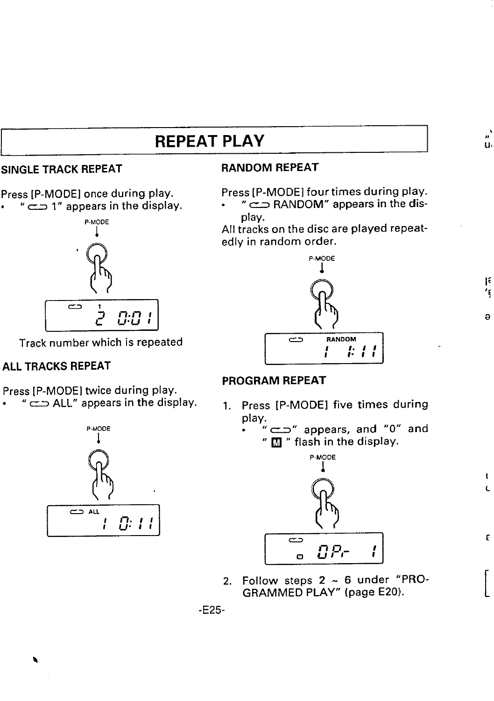## **REPEAT PLAY I**

#### **SINGLE TRACK REPEAT**

<span id="page-25-0"></span>**I**

**Press [P-MODE] once during play.** ● **" = 1" appears in the display.**



**Track number which is repeated**

### **ALL TRACKS REPEAT**

**Press [P-MODE] twice during play.**

● **" u ALL" appears in the display.**



#### **RANDOM REPEAT**

**Press [P-MODE] four times during play.**

,,**' Ut**

**a**

 $\ddot{\mathbf{r}}$ 

 $\mathbf{t}$ Ċ

Ę

**. " = RANDOM" appears in the display.**

**All tracks on the disc are played repeatedly in random order.**



### **PROGRAM REPEAT**

- **1. Press [P-MODE] five times during play.**
	- **. " n " appears, and "O" and "** ❑ **" flash in the display.**



2. **Follow steps 2 - 6 under "PRO-GRAMMED PLAY" (page E20).**

**-E25-**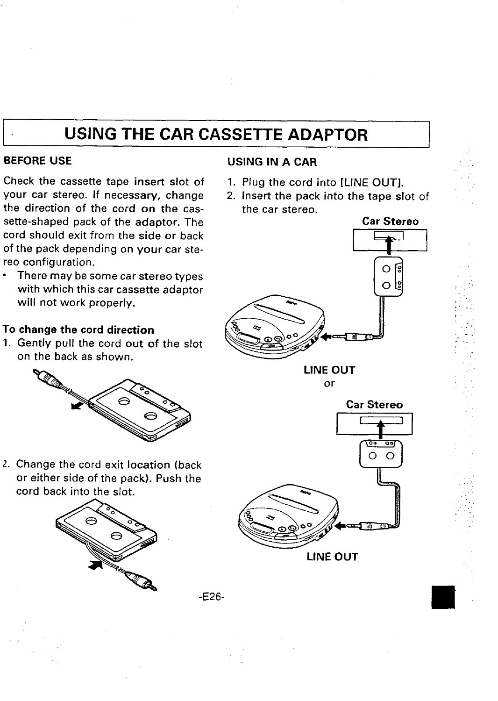# <span id="page-26-0"></span>**USING THE CAR CASSETTE ADAPTOR**

#### **BEFORE USE**

**Check the cassette tape insert slot of your car stereo. If necessary, change the direction of the cord on the cassette-shaped pack of the adaptor. The cord should exit from the side or back of the pack depending on your car stereo configuration.**

● **There maybe some car stereo types with which this car cassette adaptor will not work properly.**

#### **To change the cord direction**

1. **Gently pull the cord out of the slot on the back as shown.**



**2. Change the cord exit location (back or either side of the pack). Push the cord back into the slot.**



#### **USING IN A CAR**

- **1. Plug the cord into [LINE OUT].**
- **2. Insert the pack into the tape slot of the car stereo.**



 $\mathbb{R}^+$  $\mathcal{L}_{\rm{max}}$ .- .. .-

,..

**LINE OUT or**



**LINE OUT**

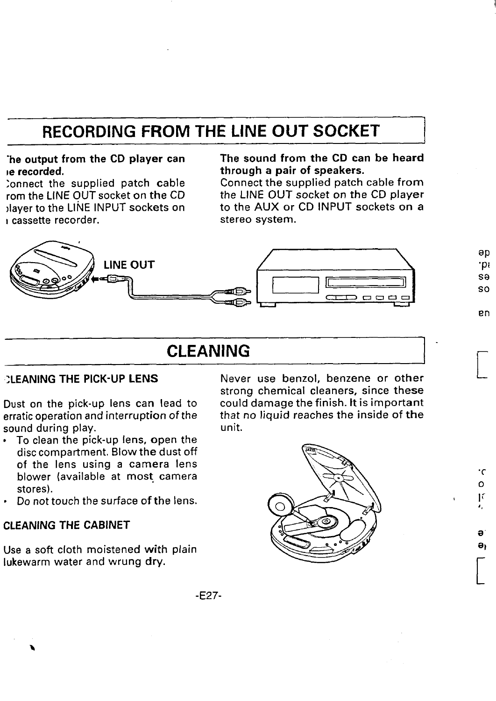# <span id="page-27-0"></span>**RECORDING FROM THE LINE OUT SOCKET I**

**JIayer to the LINE INPUT sockets on to the AUX or CD INPUT sockets on a I** cassette recorder.

### **'he output from the CD player can The sound from the CD can be heard through a pair of speakers.**<br>Connect the supplied patch cable from

**;ortnect the supplied patch cable Connect the supplied patch cable from rom the LINE OUT socket on the CD the LINE OUT socket on the CD player**

> **ap .pl sa so**

**en**

 $\overline{a}$ 

**.C o If J,**

[

a ə,



### **CLEANING 1-**

**Dust** on the pick-up lens can lead to erratic operation and interruption of the **sound during play. unit.**

- **To clean the pick-up lens, open the disc compartment. Blow the dust off of the lens using a camera lens blower (available at most. camera stores).**
- **s Do not touch the surface of the lens.**

#### **CLEANING THE CABINET**

**Use a soft cloth moistened with plain lukewarm water and wrung dry.**

**;LEANING THE PICK-UP LENS Never use benzol, benzene or other strong chemical cleaners, since these erratic operation and interruption of the that no liquid reaches the inside of the**



**-E27-**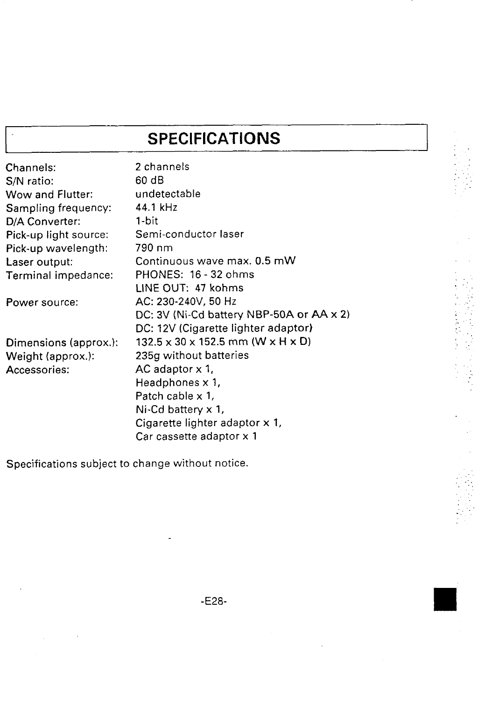# **SPECIFICATIONS**

 $\begin{bmatrix} 1 & 0 & 0 & 0 \\ 0 & 0 & 0 & 0 \\ 0 & 0 & 0 & 0 \\ 0 & 0 & 0 & 0 \\ 0 & 0 & 0 & 0 \\ 0 & 0 & 0 & 0 \\ 0 & 0 & 0 & 0 \\ 0 & 0 & 0 & 0 \\ 0 & 0 & 0 & 0 & 0 \\ 0 & 0 & 0 & 0 & 0 \\ 0 & 0 & 0 & 0 & 0 \\ 0 & 0 & 0 & 0 & 0 & 0 \\ 0 & 0 & 0 & 0 & 0 & 0 \\ 0 & 0 & 0 & 0 & 0 & 0 \\ 0 & 0 & 0 & 0 & 0 & 0 \\$ 

おとす アクセス・メンティー・ 

| Channels:             | 2 channels                                    |
|-----------------------|-----------------------------------------------|
| S/N ratio:            | 60 dB                                         |
| Wow and Flutter:      | undetectable                                  |
| Sampling frequency:   | 44.1 kHz                                      |
| D/A Converter:        | 1-bit                                         |
| Pick-up light source: | Semi-conductor laser                          |
| Pick-up wavelength:   | 790 nm                                        |
| Laser output:         | Continuous wave max. 0.5 mW                   |
| Terminal impedance:   | PHONES: 16 - 32 ohms                          |
|                       | LINE OUT: 47 kohms                            |
| Power source:         | AC: 230-240V, 50 Hz                           |
|                       | DC: 3V (Ni-Cd battery NBP-50A or AA x 2)      |
|                       | DC: 12V (Cigarette lighter adaptor)           |
| Dimensions (approx.): | $132.5 \times 30 \times 152.5$ mm (W x H x D) |
| Weight (approx.):     | 235g without batteries                        |
| Accessories:          | AC adaptor x 1,                               |
|                       | Headphones x 1,                               |
|                       | Patch cable x 1,                              |
|                       | Ni-Cd battery x 1,                            |
|                       | Cigarette lighter adaptor x 1,                |
|                       | Car cassette adaptor x 1                      |
|                       |                                               |

**Specifications subject to change without notice.**

<span id="page-28-0"></span> $\overline{\phantom{a}}$